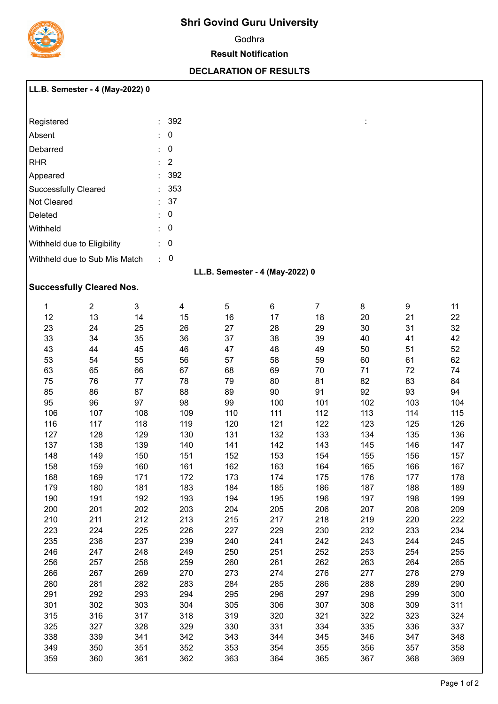

# **Shri Govind Guru University**

Godhra

#### **Result Notification**

### **DECLARATION OF RESULTS**

:

| LL.B. Semester - 4 (May-2022) 0 |  |  |
|---------------------------------|--|--|
|                                 |  |  |

| Registered                    |         | : 392     |
|-------------------------------|---------|-----------|
| Absent                        | t       | 0         |
| Debarred                      |         | 0         |
| RHR                           |         | $\cdot$ 2 |
| Appeared                      | $\cdot$ | -392      |
| <b>Successfully Cleared</b>   |         | 353       |
| Not Cleared                   |         | - 37      |
| Deleted                       |         | 0         |
| Withheld                      | ٠       | 0         |
| Withheld due to Eligibility   | ۰       | 0         |
| Withheld due to Sub Mis Match |         |           |

## **LL.B. Semester - 4 (May-2022) 0**

## **Successfully Cleared Nos.**

| 1   | $\overline{2}$ | 3   | 4   | 5   | 6   | $\overline{7}$ | 8   | 9   | 11  |
|-----|----------------|-----|-----|-----|-----|----------------|-----|-----|-----|
| 12  | 13             | 14  | 15  | 16  | 17  | 18             | 20  | 21  | 22  |
| 23  | 24             | 25  | 26  | 27  | 28  | 29             | 30  | 31  | 32  |
| 33  | 34             | 35  | 36  | 37  | 38  | 39             | 40  | 41  | 42  |
| 43  | 44             | 45  | 46  | 47  | 48  | 49             | 50  | 51  | 52  |
| 53  | 54             | 55  | 56  | 57  | 58  | 59             | 60  | 61  | 62  |
| 63  | 65             | 66  | 67  | 68  | 69  | 70             | 71  | 72  | 74  |
| 75  | 76             | 77  | 78  | 79  | 80  | 81             | 82  | 83  | 84  |
| 85  | 86             | 87  | 88  | 89  | 90  | 91             | 92  | 93  | 94  |
| 95  | 96             | 97  | 98  | 99  | 100 | 101            | 102 | 103 | 104 |
| 106 | 107            | 108 | 109 | 110 | 111 | 112            | 113 | 114 | 115 |
| 116 | 117            | 118 | 119 | 120 | 121 | 122            | 123 | 125 | 126 |
| 127 | 128            | 129 | 130 | 131 | 132 | 133            | 134 | 135 | 136 |
| 137 | 138            | 139 | 140 | 141 | 142 | 143            | 145 | 146 | 147 |
| 148 | 149            | 150 | 151 | 152 | 153 | 154            | 155 | 156 | 157 |
| 158 | 159            | 160 | 161 | 162 | 163 | 164            | 165 | 166 | 167 |
| 168 | 169            | 171 | 172 | 173 | 174 | 175            | 176 | 177 | 178 |
| 179 | 180            | 181 | 183 | 184 | 185 | 186            | 187 | 188 | 189 |
| 190 | 191            | 192 | 193 | 194 | 195 | 196            | 197 | 198 | 199 |
| 200 | 201            | 202 | 203 | 204 | 205 | 206            | 207 | 208 | 209 |
| 210 | 211            | 212 | 213 | 215 | 217 | 218            | 219 | 220 | 222 |
| 223 | 224            | 225 | 226 | 227 | 229 | 230            | 232 | 233 | 234 |
| 235 | 236            | 237 | 239 | 240 | 241 | 242            | 243 | 244 | 245 |
| 246 | 247            | 248 | 249 | 250 | 251 | 252            | 253 | 254 | 255 |
| 256 | 257            | 258 | 259 | 260 | 261 | 262            | 263 | 264 | 265 |
| 266 | 267            | 269 | 270 | 273 | 274 | 276            | 277 | 278 | 279 |
| 280 | 281            | 282 | 283 | 284 | 285 | 286            | 288 | 289 | 290 |
| 291 | 292            | 293 | 294 | 295 | 296 | 297            | 298 | 299 | 300 |
| 301 | 302            | 303 | 304 | 305 | 306 | 307            | 308 | 309 | 311 |
| 315 | 316            | 317 | 318 | 319 | 320 | 321            | 322 | 323 | 324 |
| 325 | 327            | 328 | 329 | 330 | 331 | 334            | 335 | 336 | 337 |
| 338 | 339            | 341 | 342 | 343 | 344 | 345            | 346 | 347 | 348 |
| 349 | 350            | 351 | 352 | 353 | 354 | 355            | 356 | 357 | 358 |
| 359 | 360            | 361 | 362 | 363 | 364 | 365            | 367 | 368 | 369 |
|     |                |     |     |     |     |                |     |     |     |